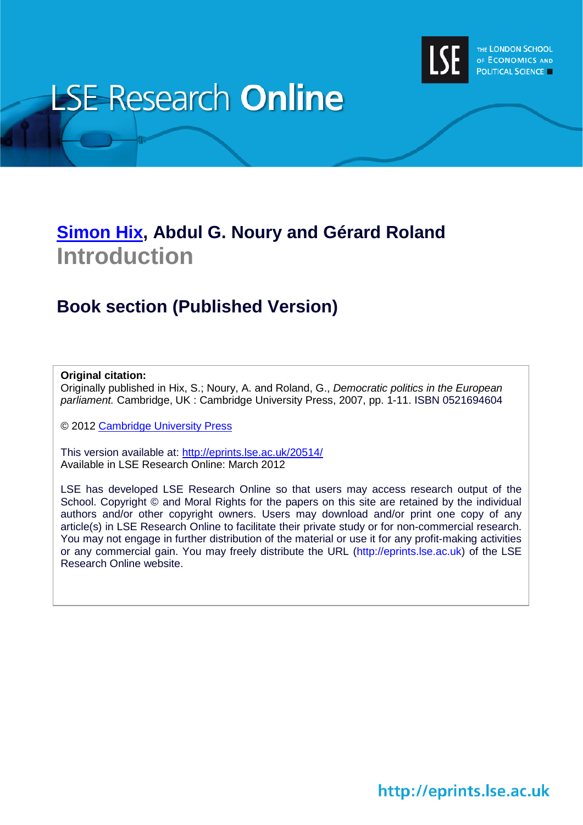

# **LSE Research Online**

# **[Simon Hix,](http://www2.lse.ac.uk/researchAndExpertise/Experts/profile.aspx?KeyValue=s.hix@lse.ac.uk) Abdul G. Noury and Gérard Roland Introduction**

# **Book section (Published Version)**

## **Original citation:**

Originally published in Hix, S.; Noury, A. and Roland, G., *Democratic politics in the European parliament.* Cambridge, UK : Cambridge University Press, 2007, pp. 1-11. ISBN 0521694604

© 2012 [Cambridge University Press](http://www.cambridge.org/)

This version available at:<http://eprints.lse.ac.uk/20514/> Available in LSE Research Online: March 2012

LSE has developed LSE Research Online so that users may access research output of the School. Copyright © and Moral Rights for the papers on this site are retained by the individual authors and/or other copyright owners. Users may download and/or print one copy of any article(s) in LSE Research Online to facilitate their private study or for non-commercial research. You may not engage in further distribution of the material or use it for any profit-making activities or any commercial gain. You may freely distribute the URL (http://eprints.lse.ac.uk) of the LSE Research Online website.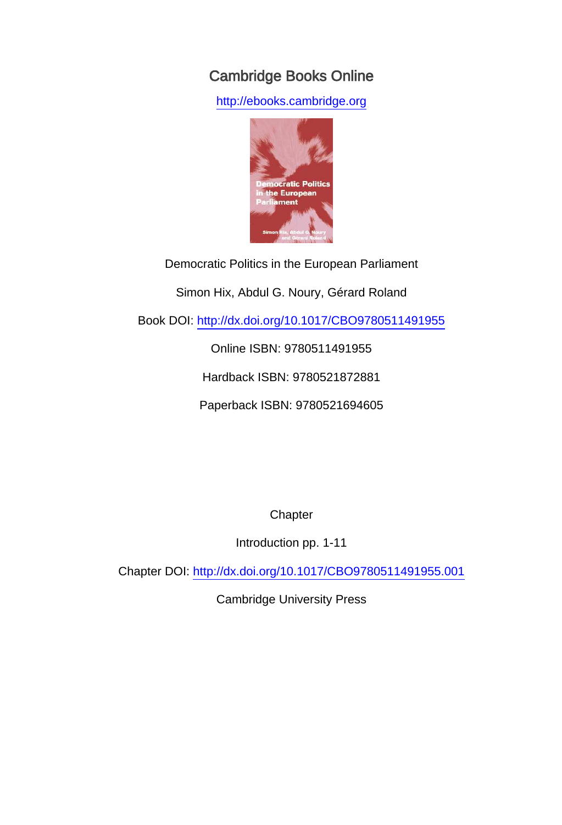# Cambridge Books Online

http://ebooks.cambridge.org



Democratic Politics in the European Parliament

Simon Hix, Abdul G. Noury, Gérard Roland

Book DOI: http://dx.doi.org/10.1017/CBO9780511491955

Online ISBN: 9780511491955

Hardback ISBN: 9780521872881

Paperback ISBN: 9780521694605

**Chapter** 

Introduction pp. 1-11

Chapter DOI: http://dx.doi.org/10.1017/CBO9780511491955.001

Cambridge University Press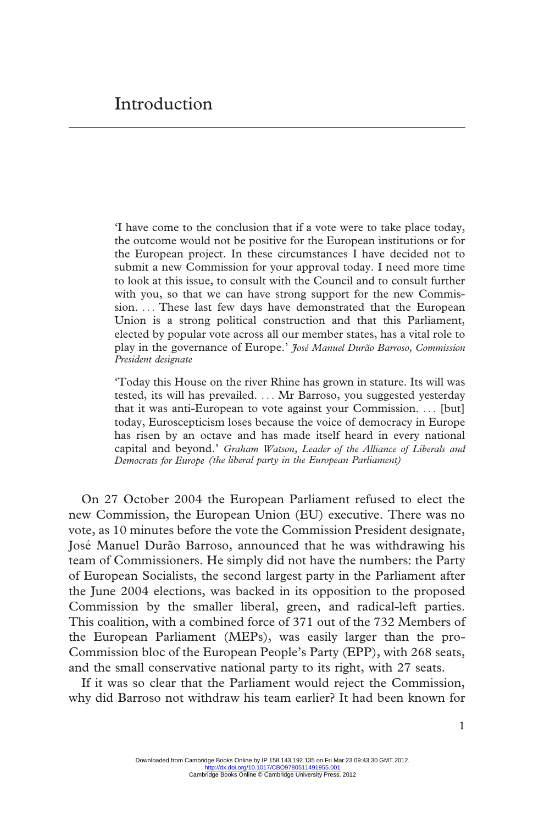'I have come to the conclusion that if a vote were to take place today, the outcome would not be positive for the European institutions or for the European project. In these circumstances I have decided not to submit a new Commission for your approval today. I need more time to look at this issue, to consult with the Council and to consult further with you, so that we can have strong support for the new Commission. ... These last few days have demonstrated that the European Union is a strong political construction and that this Parliament, elected by popular vote across all our member states, has a vital role to play in the governance of Europe.' José Manuel Durão Barroso, Commission President designate

'Today this House on the river Rhine has grown in stature. Its will was tested, its will has prevailed. ... Mr Barroso, you suggested yesterday that it was anti-European to vote against your Commission. ... [but] today, Euroscepticism loses because the voice of democracy in Europe has risen by an octave and has made itself heard in every national capital and beyond.' Graham Watson, Leader of the Alliance of Liberals and Democrats for Europe (the liberal party in the European Parliament)

On 27 October 2004 the European Parliament refused to elect the new Commission, the European Union (EU) executive. There was no vote, as 10 minutes before the vote the Commission President designate, José Manuel Durão Barroso, announced that he was withdrawing his team of Commissioners. He simply did not have the numbers: the Party of European Socialists, the second largest party in the Parliament after the June 2004 elections, was backed in its opposition to the proposed Commission by the smaller liberal, green, and radical-left parties. This coalition, with a combined force of 371 out of the 732 Members of the European Parliament (MEPs), was easily larger than the pro-Commission bloc of the European People's Party (EPP), with 268 seats, and the small conservative national party to its right, with 27 seats.

If it was so clear that the Parliament would reject the Commission, why did Barroso not withdraw his team earlier? It had been known for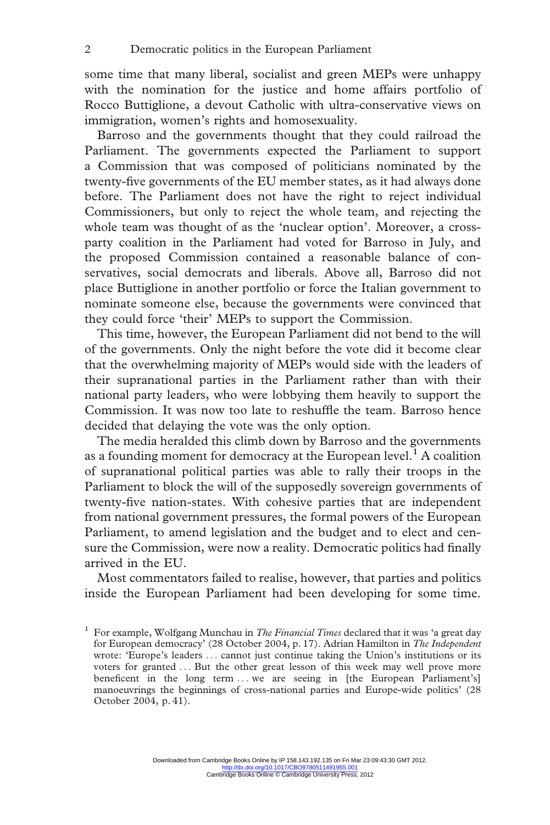some time that many liberal, socialist and green MEPs were unhappy with the nomination for the justice and home affairs portfolio of Rocco Buttiglione, a devout Catholic with ultra-conservative views on immigration, women's rights and homosexuality.

Barroso and the governments thought that they could railroad the Parliament. The governments expected the Parliament to support a Commission that was composed of politicians nominated by the twenty-five governments of the EU member states, as it had always done before. The Parliament does not have the right to reject individual Commissioners, but only to reject the whole team, and rejecting the whole team was thought of as the 'nuclear option'. Moreover, a crossparty coalition in the Parliament had voted for Barroso in July, and the proposed Commission contained a reasonable balance of conservatives, social democrats and liberals. Above all, Barroso did not place Buttiglione in another portfolio or force the Italian government to nominate someone else, because the governments were convinced that they could force 'their' MEPs to support the Commission.

This time, however, the European Parliament did not bend to the will of the governments. Only the night before the vote did it become clear that the overwhelming majority of MEPs would side with the leaders of their supranational parties in the Parliament rather than with their national party leaders, who were lobbying them heavily to support the Commission. It was now too late to reshuffle the team. Barroso hence decided that delaying the vote was the only option.

The media heralded this climb down by Barroso and the governments as a founding moment for democracy at the European level.<sup>1</sup> A coalition of supranational political parties was able to rally their troops in the Parliament to block the will of the supposedly sovereign governments of twenty-five nation-states. With cohesive parties that are independent from national government pressures, the formal powers of the European Parliament, to amend legislation and the budget and to elect and censure the Commission, were now a reality. Democratic politics had finally arrived in the EU.

Most commentators failed to realise, however, that parties and politics inside the European Parliament had been developing for some time.

<sup>&</sup>lt;sup>1</sup> For example, Wolfgang Munchau in *The Financial Times* declared that it was 'a great day for European democracy' (28 October 2004, p. 17). Adrian Hamilton in The Independent wrote: 'Europe's leaders ... cannot just continue taking the Union's institutions or its voters for granted ... But the other great lesson of this week may well prove more beneficent in the long term ... we are seeing in [the European Parliament's] manoeuvrings the beginnings of cross-national parties and Europe-wide politics' (28 October 2004, p. 41).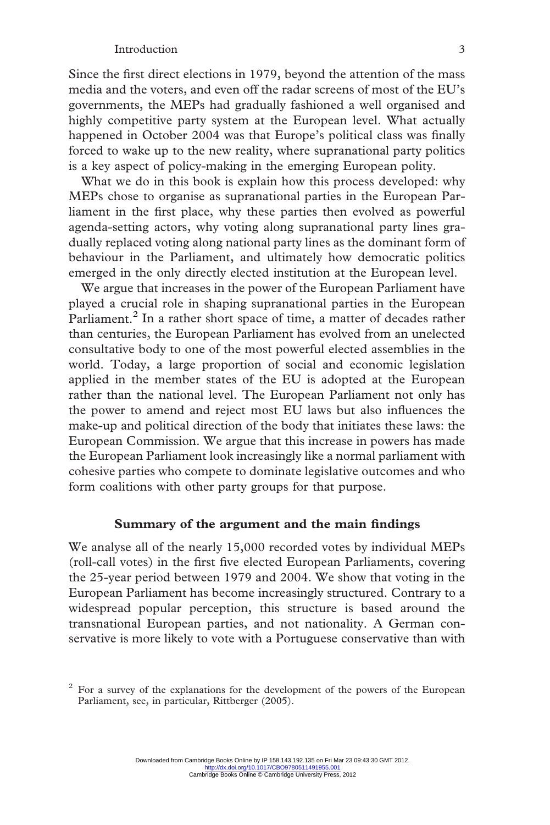#### Introduction 3

Since the first direct elections in 1979, beyond the attention of the mass media and the voters, and even off the radar screens of most of the EU's governments, the MEPs had gradually fashioned a well organised and highly competitive party system at the European level. What actually happened in October 2004 was that Europe's political class was finally forced to wake up to the new reality, where supranational party politics is a key aspect of policy-making in the emerging European polity.

What we do in this book is explain how this process developed: why MEPs chose to organise as supranational parties in the European Parliament in the first place, why these parties then evolved as powerful agenda-setting actors, why voting along supranational party lines gradually replaced voting along national party lines as the dominant form of behaviour in the Parliament, and ultimately how democratic politics emerged in the only directly elected institution at the European level.

We argue that increases in the power of the European Parliament have played a crucial role in shaping supranational parties in the European Parliament.<sup>2</sup> In a rather short space of time, a matter of decades rather than centuries, the European Parliament has evolved from an unelected consultative body to one of the most powerful elected assemblies in the world. Today, a large proportion of social and economic legislation applied in the member states of the EU is adopted at the European rather than the national level. The European Parliament not only has the power to amend and reject most EU laws but also influences the make-up and political direction of the body that initiates these laws: the European Commission. We argue that this increase in powers has made the European Parliament look increasingly like a normal parliament with cohesive parties who compete to dominate legislative outcomes and who form coalitions with other party groups for that purpose.

#### Summary of the argument and the main findings

We analyse all of the nearly 15,000 recorded votes by individual MEPs (roll-call votes) in the first five elected European Parliaments, covering the 25-year period between 1979 and 2004. We show that voting in the European Parliament has become increasingly structured. Contrary to a widespread popular perception, this structure is based around the transnational European parties, and not nationality. A German conservative is more likely to vote with a Portuguese conservative than with

 $2\degree$  For a survey of the explanations for the development of the powers of the European Parliament, see, in particular, Rittberger (2005).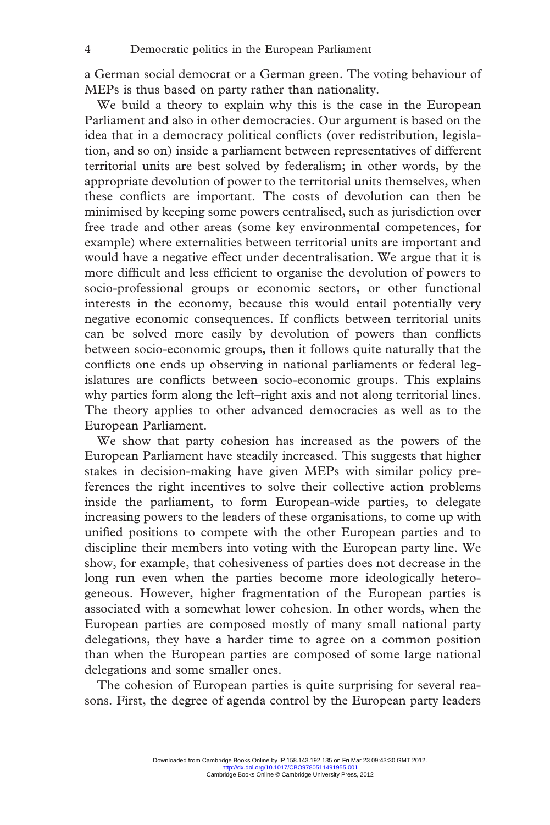a German social democrat or a German green. The voting behaviour of MEPs is thus based on party rather than nationality.

We build a theory to explain why this is the case in the European Parliament and also in other democracies. Our argument is based on the idea that in a democracy political conflicts (over redistribution, legislation, and so on) inside a parliament between representatives of different territorial units are best solved by federalism; in other words, by the appropriate devolution of power to the territorial units themselves, when these conflicts are important. The costs of devolution can then be minimised by keeping some powers centralised, such as jurisdiction over free trade and other areas (some key environmental competences, for example) where externalities between territorial units are important and would have a negative effect under decentralisation. We argue that it is more difficult and less efficient to organise the devolution of powers to socio-professional groups or economic sectors, or other functional interests in the economy, because this would entail potentially very negative economic consequences. If conflicts between territorial units can be solved more easily by devolution of powers than conflicts between socio-economic groups, then it follows quite naturally that the conflicts one ends up observing in national parliaments or federal legislatures are conflicts between socio-economic groups. This explains why parties form along the left–right axis and not along territorial lines. The theory applies to other advanced democracies as well as to the European Parliament.

We show that party cohesion has increased as the powers of the European Parliament have steadily increased. This suggests that higher stakes in decision-making have given MEPs with similar policy preferences the right incentives to solve their collective action problems inside the parliament, to form European-wide parties, to delegate increasing powers to the leaders of these organisations, to come up with unified positions to compete with the other European parties and to discipline their members into voting with the European party line. We show, for example, that cohesiveness of parties does not decrease in the long run even when the parties become more ideologically heterogeneous. However, higher fragmentation of the European parties is associated with a somewhat lower cohesion. In other words, when the European parties are composed mostly of many small national party delegations, they have a harder time to agree on a common position than when the European parties are composed of some large national delegations and some smaller ones.

The cohesion of European parties is quite surprising for several reasons. First, the degree of agenda control by the European party leaders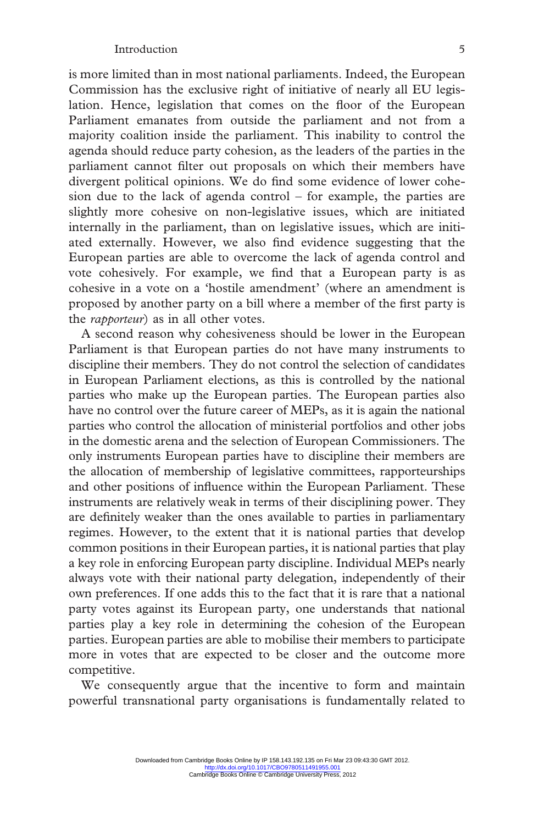is more limited than in most national parliaments. Indeed, the European Commission has the exclusive right of initiative of nearly all EU legislation. Hence, legislation that comes on the floor of the European Parliament emanates from outside the parliament and not from a majority coalition inside the parliament. This inability to control the agenda should reduce party cohesion, as the leaders of the parties in the parliament cannot filter out proposals on which their members have divergent political opinions. We do find some evidence of lower cohesion due to the lack of agenda control – for example, the parties are slightly more cohesive on non-legislative issues, which are initiated internally in the parliament, than on legislative issues, which are initiated externally. However, we also find evidence suggesting that the European parties are able to overcome the lack of agenda control and vote cohesively. For example, we find that a European party is as cohesive in a vote on a 'hostile amendment' (where an amendment is proposed by another party on a bill where a member of the first party is the rapporteur) as in all other votes.

A second reason why cohesiveness should be lower in the European Parliament is that European parties do not have many instruments to discipline their members. They do not control the selection of candidates in European Parliament elections, as this is controlled by the national parties who make up the European parties. The European parties also have no control over the future career of MEPs, as it is again the national parties who control the allocation of ministerial portfolios and other jobs in the domestic arena and the selection of European Commissioners. The only instruments European parties have to discipline their members are the allocation of membership of legislative committees, rapporteurships and other positions of influence within the European Parliament. These instruments are relatively weak in terms of their disciplining power. They are definitely weaker than the ones available to parties in parliamentary regimes. However, to the extent that it is national parties that develop common positions in their European parties, it is national parties that play a key role in enforcing European party discipline. Individual MEPs nearly always vote with their national party delegation, independently of their own preferences. If one adds this to the fact that it is rare that a national party votes against its European party, one understands that national parties play a key role in determining the cohesion of the European parties. European parties are able to mobilise their members to participate more in votes that are expected to be closer and the outcome more competitive.

We consequently argue that the incentive to form and maintain powerful transnational party organisations is fundamentally related to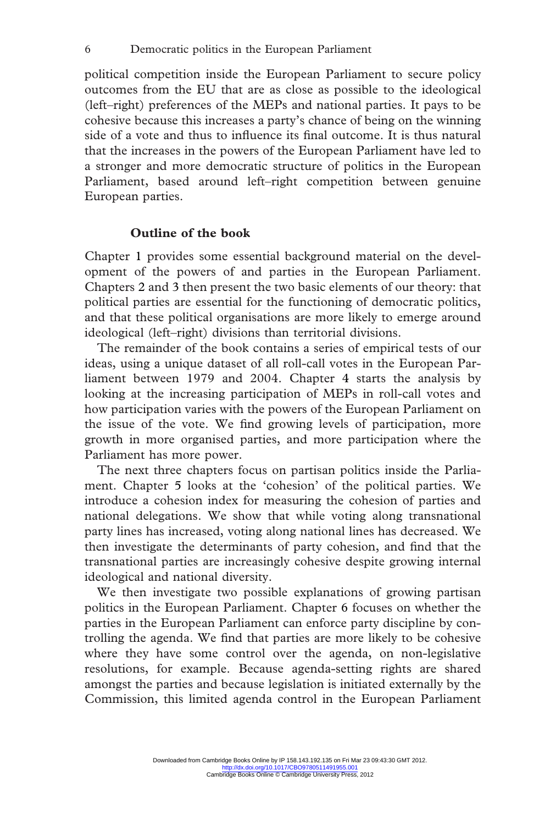political competition inside the European Parliament to secure policy outcomes from the EU that are as close as possible to the ideological (left–right) preferences of the MEPs and national parties. It pays to be cohesive because this increases a party's chance of being on the winning side of a vote and thus to influence its final outcome. It is thus natural that the increases in the powers of the European Parliament have led to a stronger and more democratic structure of politics in the European Parliament, based around left–right competition between genuine European parties.

### Outline of the book

Chapter 1 provides some essential background material on the development of the powers of and parties in the European Parliament. Chapters 2 and 3 then present the two basic elements of our theory: that political parties are essential for the functioning of democratic politics, and that these political organisations are more likely to emerge around ideological (left–right) divisions than territorial divisions.

The remainder of the book contains a series of empirical tests of our ideas, using a unique dataset of all roll-call votes in the European Parliament between 1979 and 2004. Chapter 4 starts the analysis by looking at the increasing participation of MEPs in roll-call votes and how participation varies with the powers of the European Parliament on the issue of the vote. We find growing levels of participation, more growth in more organised parties, and more participation where the Parliament has more power.

The next three chapters focus on partisan politics inside the Parliament. Chapter 5 looks at the 'cohesion' of the political parties. We introduce a cohesion index for measuring the cohesion of parties and national delegations. We show that while voting along transnational party lines has increased, voting along national lines has decreased. We then investigate the determinants of party cohesion, and find that the transnational parties are increasingly cohesive despite growing internal ideological and national diversity.

We then investigate two possible explanations of growing partisan politics in the European Parliament. Chapter 6 focuses on whether the parties in the European Parliament can enforce party discipline by controlling the agenda. We find that parties are more likely to be cohesive where they have some control over the agenda, on non-legislative resolutions, for example. Because agenda-setting rights are shared amongst the parties and because legislation is initiated externally by the Commission, this limited agenda control in the European Parliament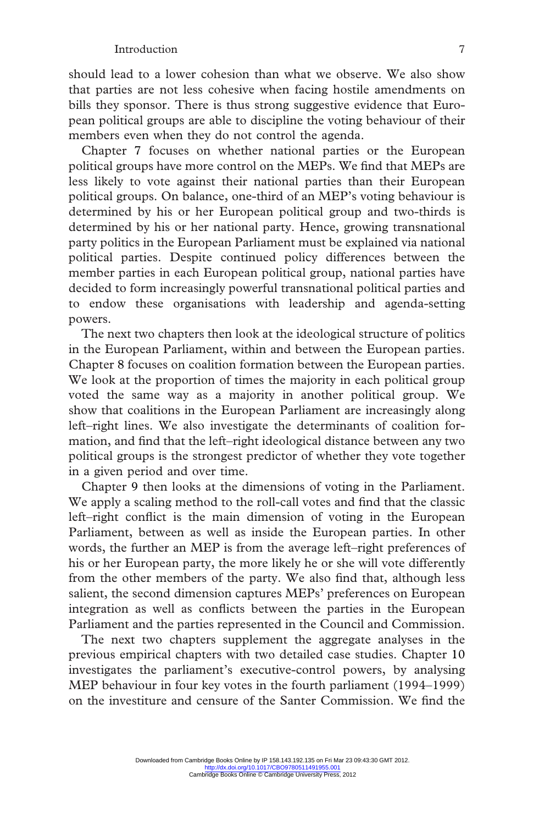should lead to a lower cohesion than what we observe. We also show that parties are not less cohesive when facing hostile amendments on bills they sponsor. There is thus strong suggestive evidence that European political groups are able to discipline the voting behaviour of their members even when they do not control the agenda.

Chapter 7 focuses on whether national parties or the European political groups have more control on the MEPs. We find that MEPs are less likely to vote against their national parties than their European political groups. On balance, one-third of an MEP's voting behaviour is determined by his or her European political group and two-thirds is determined by his or her national party. Hence, growing transnational party politics in the European Parliament must be explained via national political parties. Despite continued policy differences between the member parties in each European political group, national parties have decided to form increasingly powerful transnational political parties and to endow these organisations with leadership and agenda-setting powers.

The next two chapters then look at the ideological structure of politics in the European Parliament, within and between the European parties. Chapter 8 focuses on coalition formation between the European parties. We look at the proportion of times the majority in each political group voted the same way as a majority in another political group. We show that coalitions in the European Parliament are increasingly along left–right lines. We also investigate the determinants of coalition formation, and find that the left–right ideological distance between any two political groups is the strongest predictor of whether they vote together in a given period and over time.

Chapter 9 then looks at the dimensions of voting in the Parliament. We apply a scaling method to the roll-call votes and find that the classic left–right conflict is the main dimension of voting in the European Parliament, between as well as inside the European parties. In other words, the further an MEP is from the average left–right preferences of his or her European party, the more likely he or she will vote differently from the other members of the party. We also find that, although less salient, the second dimension captures MEPs' preferences on European integration as well as conflicts between the parties in the European Parliament and the parties represented in the Council and Commission.

The next two chapters supplement the aggregate analyses in the previous empirical chapters with two detailed case studies. Chapter 10 investigates the parliament's executive-control powers, by analysing MEP behaviour in four key votes in the fourth parliament (1994–1999) on the investiture and censure of the Santer Commission. We find the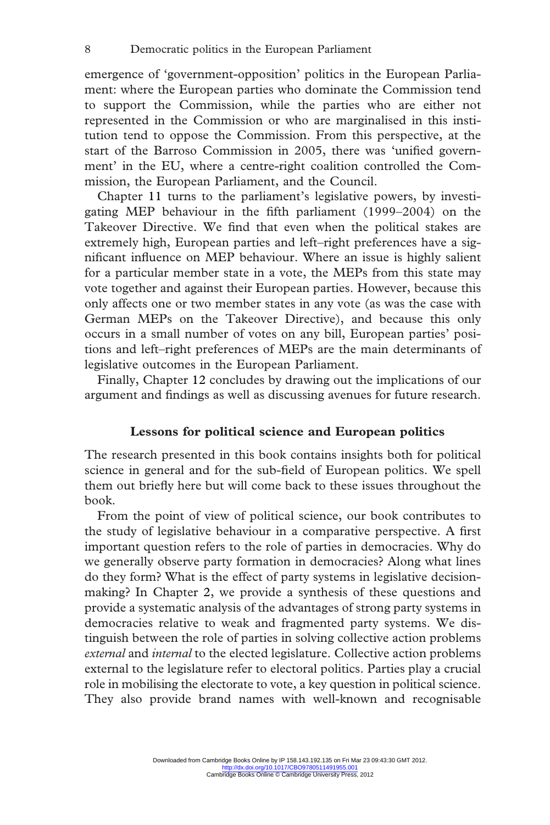emergence of 'government-opposition' politics in the European Parliament: where the European parties who dominate the Commission tend to support the Commission, while the parties who are either not represented in the Commission or who are marginalised in this institution tend to oppose the Commission. From this perspective, at the start of the Barroso Commission in 2005, there was 'unified government' in the EU, where a centre-right coalition controlled the Commission, the European Parliament, and the Council.

Chapter 11 turns to the parliament's legislative powers, by investigating MEP behaviour in the fifth parliament (1999–2004) on the Takeover Directive. We find that even when the political stakes are extremely high, European parties and left–right preferences have a significant influence on MEP behaviour. Where an issue is highly salient for a particular member state in a vote, the MEPs from this state may vote together and against their European parties. However, because this only affects one or two member states in any vote (as was the case with German MEPs on the Takeover Directive), and because this only occurs in a small number of votes on any bill, European parties' positions and left–right preferences of MEPs are the main determinants of legislative outcomes in the European Parliament.

Finally, Chapter 12 concludes by drawing out the implications of our argument and findings as well as discussing avenues for future research.

## Lessons for political science and European politics

The research presented in this book contains insights both for political science in general and for the sub-field of European politics. We spell them out briefly here but will come back to these issues throughout the book.

From the point of view of political science, our book contributes to the study of legislative behaviour in a comparative perspective. A first important question refers to the role of parties in democracies. Why do we generally observe party formation in democracies? Along what lines do they form? What is the effect of party systems in legislative decisionmaking? In Chapter 2, we provide a synthesis of these questions and provide a systematic analysis of the advantages of strong party systems in democracies relative to weak and fragmented party systems. We distinguish between the role of parties in solving collective action problems external and internal to the elected legislature. Collective action problems external to the legislature refer to electoral politics. Parties play a crucial role in mobilising the electorate to vote, a key question in political science. They also provide brand names with well-known and recognisable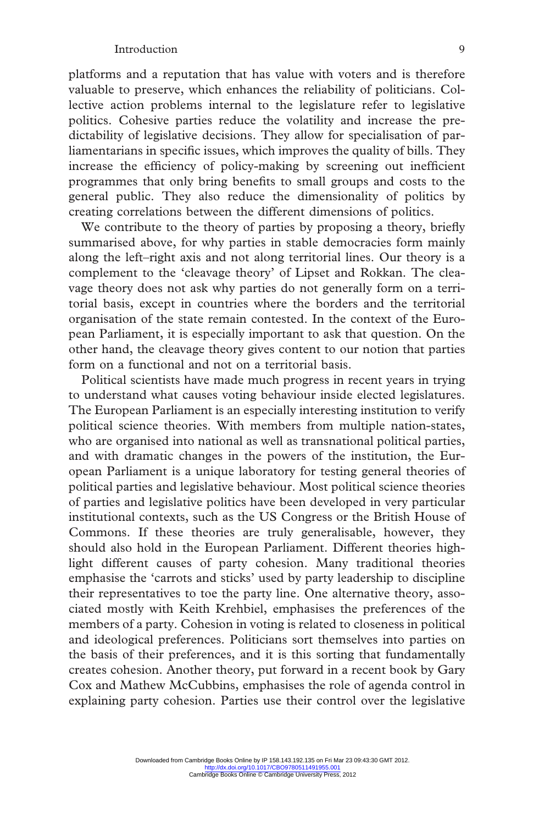platforms and a reputation that has value with voters and is therefore valuable to preserve, which enhances the reliability of politicians. Collective action problems internal to the legislature refer to legislative politics. Cohesive parties reduce the volatility and increase the predictability of legislative decisions. They allow for specialisation of parliamentarians in specific issues, which improves the quality of bills. They increase the efficiency of policy-making by screening out inefficient programmes that only bring benefits to small groups and costs to the general public. They also reduce the dimensionality of politics by creating correlations between the different dimensions of politics.

We contribute to the theory of parties by proposing a theory, briefly summarised above, for why parties in stable democracies form mainly along the left–right axis and not along territorial lines. Our theory is a complement to the 'cleavage theory' of Lipset and Rokkan. The cleavage theory does not ask why parties do not generally form on a territorial basis, except in countries where the borders and the territorial organisation of the state remain contested. In the context of the European Parliament, it is especially important to ask that question. On the other hand, the cleavage theory gives content to our notion that parties form on a functional and not on a territorial basis.

Political scientists have made much progress in recent years in trying to understand what causes voting behaviour inside elected legislatures. The European Parliament is an especially interesting institution to verify political science theories. With members from multiple nation-states, who are organised into national as well as transnational political parties, and with dramatic changes in the powers of the institution, the European Parliament is a unique laboratory for testing general theories of political parties and legislative behaviour. Most political science theories of parties and legislative politics have been developed in very particular institutional contexts, such as the US Congress or the British House of Commons. If these theories are truly generalisable, however, they should also hold in the European Parliament. Different theories highlight different causes of party cohesion. Many traditional theories emphasise the 'carrots and sticks' used by party leadership to discipline their representatives to toe the party line. One alternative theory, associated mostly with Keith Krehbiel, emphasises the preferences of the members of a party. Cohesion in voting is related to closeness in political and ideological preferences. Politicians sort themselves into parties on the basis of their preferences, and it is this sorting that fundamentally creates cohesion. Another theory, put forward in a recent book by Gary Cox and Mathew McCubbins, emphasises the role of agenda control in explaining party cohesion. Parties use their control over the legislative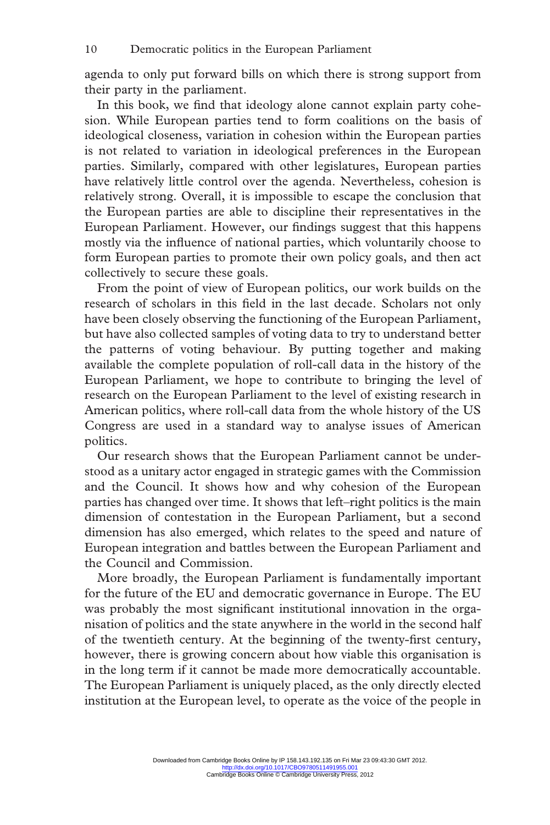agenda to only put forward bills on which there is strong support from their party in the parliament.

In this book, we find that ideology alone cannot explain party cohesion. While European parties tend to form coalitions on the basis of ideological closeness, variation in cohesion within the European parties is not related to variation in ideological preferences in the European parties. Similarly, compared with other legislatures, European parties have relatively little control over the agenda. Nevertheless, cohesion is relatively strong. Overall, it is impossible to escape the conclusion that the European parties are able to discipline their representatives in the European Parliament. However, our findings suggest that this happens mostly via the influence of national parties, which voluntarily choose to form European parties to promote their own policy goals, and then act collectively to secure these goals.

From the point of view of European politics, our work builds on the research of scholars in this field in the last decade. Scholars not only have been closely observing the functioning of the European Parliament, but have also collected samples of voting data to try to understand better the patterns of voting behaviour. By putting together and making available the complete population of roll-call data in the history of the European Parliament, we hope to contribute to bringing the level of research on the European Parliament to the level of existing research in American politics, where roll-call data from the whole history of the US Congress are used in a standard way to analyse issues of American politics.

Our research shows that the European Parliament cannot be understood as a unitary actor engaged in strategic games with the Commission and the Council. It shows how and why cohesion of the European parties has changed over time. It shows that left–right politics is the main dimension of contestation in the European Parliament, but a second dimension has also emerged, which relates to the speed and nature of European integration and battles between the European Parliament and the Council and Commission.

More broadly, the European Parliament is fundamentally important for the future of the EU and democratic governance in Europe. The EU was probably the most significant institutional innovation in the organisation of politics and the state anywhere in the world in the second half of the twentieth century. At the beginning of the twenty-first century, however, there is growing concern about how viable this organisation is in the long term if it cannot be made more democratically accountable. The European Parliament is uniquely placed, as the only directly elected institution at the European level, to operate as the voice of the people in